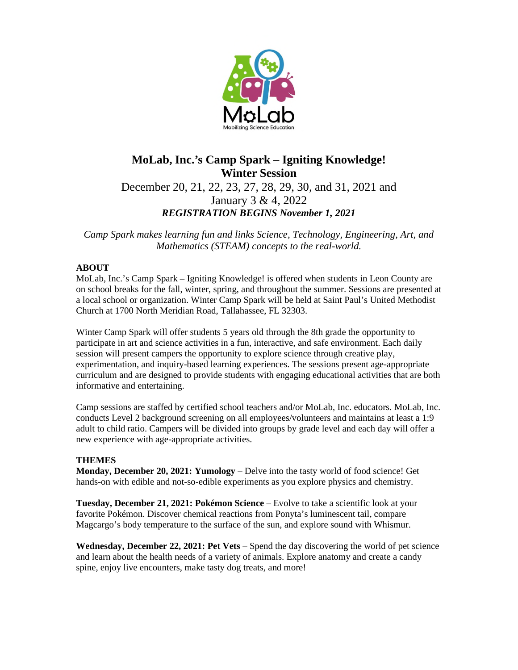

# **MoLab, Inc.'s Camp Spark – Igniting Knowledge! Winter Session**

December 20, 21, 22, 23, 27, 28, 29, 30, and 31, 2021 and January 3 & 4, 2022 *REGISTRATION BEGINS November 1, 2021* 

*Camp Spark makes learning fun and links Science, Technology, Engineering, Art, and Mathematics (STEAM) concepts to the real-world.* 

# **ABOUT**

MoLab, Inc.'s Camp Spark – Igniting Knowledge! is offered when students in Leon County are on school breaks for the fall, winter, spring, and throughout the summer. Sessions are presented at a local school or organization. Winter Camp Spark will be held at Saint Paul's United Methodist Church at 1700 North Meridian Road, Tallahassee, FL 32303.

Winter Camp Spark will offer students 5 years old through the 8th grade the opportunity to participate in art and science activities in a fun, interactive, and safe environment. Each daily session will present campers the opportunity to explore science through creative play, experimentation, and inquiry-based learning experiences. The sessions present age-appropriate curriculum and are designed to provide students with engaging educational activities that are both informative and entertaining.

Camp sessions are staffed by certified school teachers and/or MoLab, Inc. educators. MoLab, Inc. conducts Level 2 background screening on all employees/volunteers and maintains at least a 1:9 adult to child ratio. Campers will be divided into groups by grade level and each day will offer a new experience with age-appropriate activities.

# **THEMES**

**Monday, December 20, 2021: Yumology** – Delve into the tasty world of food science! Get hands-on with edible and not-so-edible experiments as you explore physics and chemistry.

**Tuesday, December 21, 2021: Pokémon Science** – Evolve to take a scientific look at your favorite Pokémon. Discover chemical reactions from Ponyta's luminescent tail, compare Magcargo's body temperature to the surface of the sun, and explore sound with Whismur.

**Wednesday, December 22, 2021: Pet Vets** – Spend the day discovering the world of pet science and learn about the health needs of a variety of animals. Explore anatomy and create a candy spine, enjoy live encounters, make tasty dog treats, and more!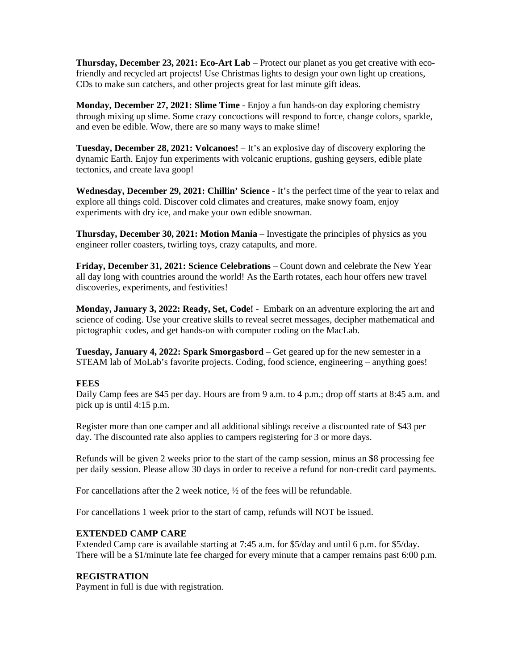**Thursday, December 23, 2021: Eco-Art Lab** – Protect our planet as you get creative with ecofriendly and recycled art projects! Use Christmas lights to design your own light up creations, CDs to make sun catchers, and other projects great for last minute gift ideas.

**Monday, December 27, 2021: Slime Time** - Enjoy a fun hands-on day exploring chemistry through mixing up slime. Some crazy concoctions will respond to force, change colors, sparkle, and even be edible. Wow, there are so many ways to make slime!

**Tuesday, December 28, 2021: Volcanoes!** – It's an explosive day of discovery exploring the dynamic Earth. Enjoy fun experiments with volcanic eruptions, gushing geysers, edible plate tectonics, and create lava goop!

**Wednesday, December 29, 2021: Chillin' Science** - It's the perfect time of the year to relax and explore all things cold. Discover cold climates and creatures, make snowy foam, enjoy experiments with dry ice, and make your own edible snowman.

**Thursday, December 30, 2021: Motion Mania** – Investigate the principles of physics as you engineer roller coasters, twirling toys, crazy catapults, and more.

**Friday, December 31, 2021: Science Celebrations** – Count down and celebrate the New Year all day long with countries around the world! As the Earth rotates, each hour offers new travel discoveries, experiments, and festivities!

**Monday, January 3, 2022: Ready, Set, Code!** - Embark on an adventure exploring the art and science of coding. Use your creative skills to reveal secret messages, decipher mathematical and pictographic codes, and get hands-on with computer coding on the MacLab.

**Tuesday, January 4, 2022: Spark Smorgasbord** – Get geared up for the new semester in a STEAM lab of MoLab's favorite projects. Coding, food science, engineering – anything goes!

# **FEES**

Daily Camp fees are \$45 per day. Hours are from 9 a.m. to 4 p.m.; drop off starts at 8:45 a.m. and pick up is until 4:15 p.m.

Register more than one camper and all additional siblings receive a discounted rate of \$43 per day. The discounted rate also applies to campers registering for 3 or more days.

Refunds will be given 2 weeks prior to the start of the camp session, minus an \$8 processing fee per daily session. Please allow 30 days in order to receive a refund for non-credit card payments.

For cancellations after the 2 week notice, ½ of the fees will be refundable.

For cancellations 1 week prior to the start of camp, refunds will NOT be issued.

# **EXTENDED CAMP CARE**

Extended Camp care is available starting at 7:45 a.m. for \$5/day and until 6 p.m. for \$5/day. There will be a \$1/minute late fee charged for every minute that a camper remains past 6:00 p.m.

# **REGISTRATION**

Payment in full is due with registration.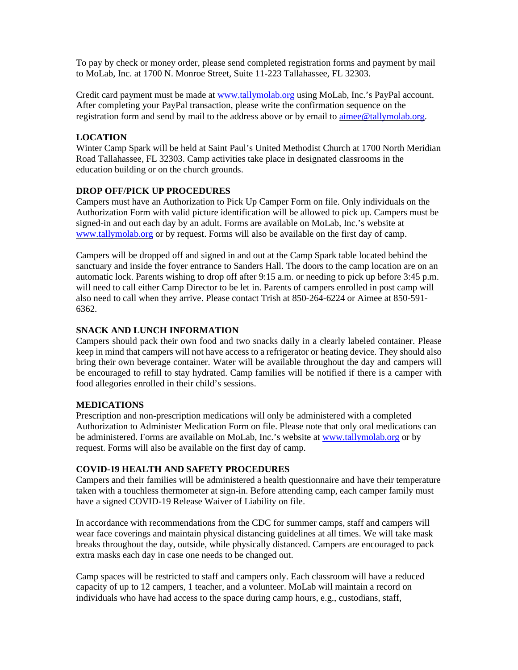To pay by check or money order, please send completed registration forms and payment by mail to MoLab, Inc. at 1700 N. Monroe Street, Suite 11-223 Tallahassee, FL 32303.

Credit card payment must be made at [www.tallymolab.org](http://www.tallymolab.org/) using MoLab, Inc.'s PayPal account. After completing your PayPal transaction, please write the confirmation sequence on the registration form and send by mail to the address above or by email to [aimee@tallymolab.org.](mailto:aimee@tallymolab.org)

# **LOCATION**

Winter Camp Spark will be held at Saint Paul's United Methodist Church at 1700 North Meridian Road Tallahassee, FL 32303. Camp activities take place in designated classrooms in the education building or on the church grounds.

# **DROP OFF/PICK UP PROCEDURES**

Campers must have an Authorization to Pick Up Camper Form on file. Only individuals on the Authorization Form with valid picture identification will be allowed to pick up. Campers must be signed-in and out each day by an adult. Forms are available on MoLab, Inc.'s website at [www.tallymolab.org](http://www.tallymolab.org/) or by request. Forms will also be available on the first day of camp.

Campers will be dropped off and signed in and out at the Camp Spark table located behind the sanctuary and inside the foyer entrance to Sanders Hall. The doors to the camp location are on an automatic lock. Parents wishing to drop off after 9:15 a.m. or needing to pick up before 3:45 p.m. will need to call either Camp Director to be let in. Parents of campers enrolled in post camp will also need to call when they arrive. Please contact Trish at 850-264-6224 or Aimee at 850-591- 6362.

# **SNACK AND LUNCH INFORMATION**

Campers should pack their own food and two snacks daily in a clearly labeled container. Please keep in mind that campers will not have access to a refrigerator or heating device. They should also bring their own beverage container. Water will be available throughout the day and campers will be encouraged to refill to stay hydrated. Camp families will be notified if there is a camper with food allegories enrolled in their child's sessions.

# **MEDICATIONS**

Prescription and non-prescription medications will only be administered with a completed Authorization to Administer Medication Form on file. Please note that only oral medications can be administered. Forms are available on MoLab, Inc.'s website at [www.tallymolab.org](http://www.tallymolab.org/) or by request. Forms will also be available on the first day of camp.

#### **COVID-19 HEALTH AND SAFETY PROCEDURES**

Campers and their families will be administered a health questionnaire and have their temperature taken with a touchless thermometer at sign-in. Before attending camp, each camper family must have a signed COVID-19 Release Waiver of Liability on file.

In accordance with recommendations from the CDC for summer camps, staff and campers will wear face coverings and maintain physical distancing guidelines at all times. We will take mask breaks throughout the day, outside, while physically distanced. Campers are encouraged to pack extra masks each day in case one needs to be changed out.

Camp spaces will be restricted to staff and campers only. Each classroom will have a reduced capacity of up to 12 campers, 1 teacher, and a volunteer. MoLab will maintain a record on individuals who have had access to the space during camp hours, e.g., custodians, staff,